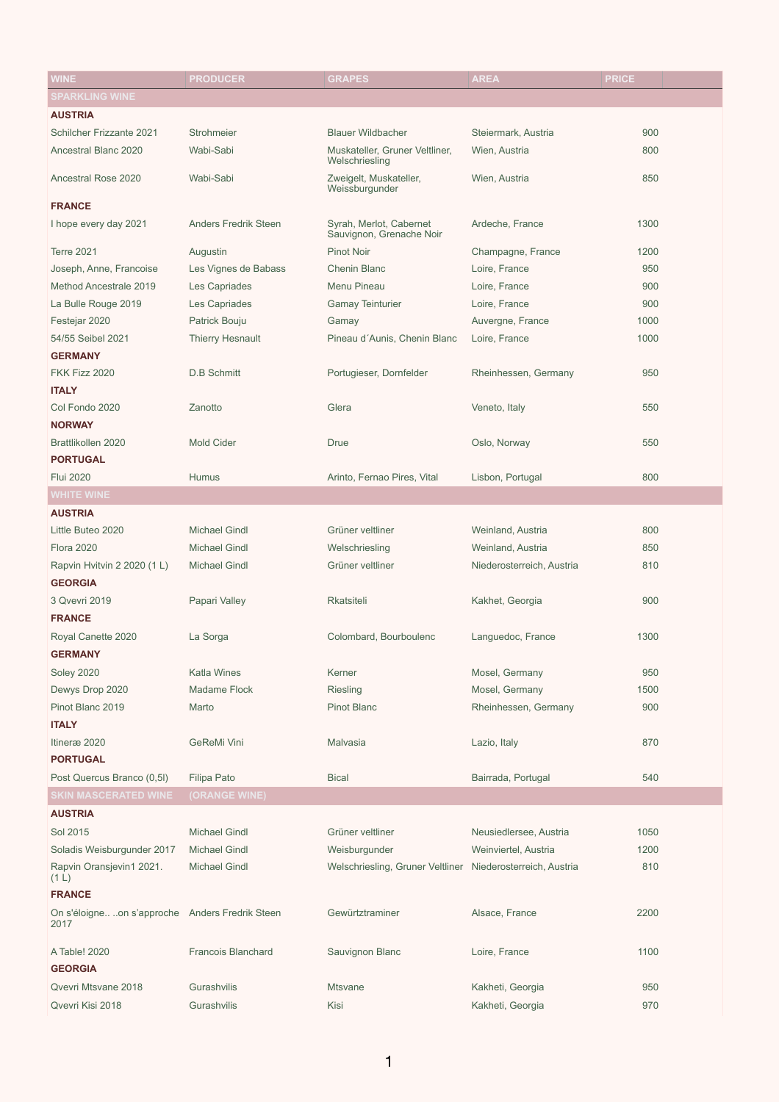| <b>SPARKLING WINE</b><br><b>AUSTRIA</b><br><b>Schilcher Frizzante 2021</b><br><b>Blauer Wildbacher</b><br>Strohmeier<br>Steiermark, Austria<br>900<br>Ancestral Blanc 2020<br>Wabi-Sabi<br>Muskateller, Gruner Veltliner,<br>Wien, Austria<br>800<br>Welschriesling<br>Wabi-Sabi<br>Zweigelt, Muskateller,<br>Wien, Austria<br>850<br><b>Ancestral Rose 2020</b><br>Weissburgunder<br><b>FRANCE</b><br>Syrah, Merlot, Cabernet<br>1300<br>I hope every day 2021<br><b>Anders Fredrik Steen</b><br>Ardeche, France<br>Sauvignon, Grenache Noir<br><b>Terre 2021</b><br><b>Pinot Noir</b><br>Augustin<br>Champagne, France<br>1200<br><b>Chenin Blanc</b><br>950<br>Joseph, Anne, Francoise<br>Les Vignes de Babass<br>Loire, France<br>Method Ancestrale 2019<br>Menu Pineau<br>Loire, France<br>900<br>Les Capriades<br>900<br>La Bulle Rouge 2019<br>Les Capriades<br><b>Gamay Teinturier</b><br>Loire, France<br>Festejar 2020<br>Patrick Bouju<br>Auvergne, France<br>1000<br>Gamay<br>Pineau d'Aunis, Chenin Blanc<br>Loire, France<br>54/55 Seibel 2021<br><b>Thierry Hesnault</b><br>1000<br><b>GERMANY</b><br>FKK Fizz 2020<br><b>D.B Schmitt</b><br>Portugieser, Dornfelder<br>Rheinhessen, Germany<br>950<br><b>ITALY</b><br>Col Fondo 2020<br>Zanotto<br>Glera<br>Veneto, Italy<br>550<br><b>NORWAY</b><br>Brattlikollen 2020<br><b>Mold Cider</b><br>Oslo, Norway<br>550<br><b>Drue</b><br><b>PORTUGAL</b><br>800<br><b>Flui 2020</b><br>Humus<br>Arinto, Fernao Pires, Vital<br>Lisbon, Portugal<br><b>WHITE WINE</b><br><b>AUSTRIA</b><br>Little Buteo 2020<br><b>Michael Gindl</b><br>Grüner veltliner<br>800<br>Weinland, Austria<br><b>Flora 2020</b><br><b>Michael Gindl</b><br>850<br>Welschriesling<br>Weinland, Austria<br><b>Michael Gindl</b><br>Grüner veltliner<br>810<br>Rapvin Hvitvin 2 2020 (1 L)<br>Niederosterreich, Austria<br><b>GEORGIA</b><br>3 Qvevri 2019<br>Papari Valley<br><b>Rkatsiteli</b><br>Kakhet, Georgia<br>900<br><b>FRANCE</b><br>Colombard, Bourboulenc<br>1300<br>Royal Canette 2020<br>La Sorga<br>Languedoc, France<br><b>GERMANY</b><br><b>Soley 2020</b><br><b>Katla Wines</b><br>Kerner<br>Mosel, Germany<br>950<br><b>Madame Flock</b><br>Mosel, Germany<br>Dewys Drop 2020<br>1500<br><b>Riesling</b><br>Pinot Blanc 2019<br><b>Pinot Blanc</b><br>Rheinhessen, Germany<br>900<br>Marto<br><b>ITALY</b><br><b>GeReMi Vini</b><br>870<br>Itineræ 2020<br><b>Malvasia</b><br>Lazio, Italy<br><b>PORTUGAL</b><br>Post Quercus Branco (0,5I)<br><b>Filipa Pato</b><br>Bairrada, Portugal<br><b>Bical</b><br>540<br><b>SKIN MASCERATED WINE</b><br>(ORANGE WINE)<br><b>AUSTRIA</b><br>Sol 2015<br><b>Michael Gindl</b><br>Grüner veltliner<br>Neusiedlersee, Austria<br>1050<br><b>Michael Gindl</b><br>Weinviertel, Austria<br>Soladis Weisburgunder 2017<br>Weisburgunder<br>1200<br><b>Michael Gindl</b><br>Rapvin Oransjevin1 2021.<br>Welschriesling, Gruner Veltliner Niederosterreich, Austria<br>810<br>(1 L)<br><b>FRANCE</b><br>Gewürtztraminer<br>2200<br>On s'éloigneon s'approche Anders Fredrik Steen<br>Alsace, France<br>2017<br><b>Francois Blanchard</b><br>Sauvignon Blanc<br>1100<br>A Table! 2020<br>Loire, France<br><b>GEORGIA</b><br>Qvevri Mtsvane 2018<br>Gurashvilis<br><b>Mtsvane</b><br>Kakheti, Georgia<br>950 | <b>WINE</b>      | <b>PRODUCER</b> | <b>GRAPES</b> | <b>AREA</b>      | <b>PRICE</b> |
|--------------------------------------------------------------------------------------------------------------------------------------------------------------------------------------------------------------------------------------------------------------------------------------------------------------------------------------------------------------------------------------------------------------------------------------------------------------------------------------------------------------------------------------------------------------------------------------------------------------------------------------------------------------------------------------------------------------------------------------------------------------------------------------------------------------------------------------------------------------------------------------------------------------------------------------------------------------------------------------------------------------------------------------------------------------------------------------------------------------------------------------------------------------------------------------------------------------------------------------------------------------------------------------------------------------------------------------------------------------------------------------------------------------------------------------------------------------------------------------------------------------------------------------------------------------------------------------------------------------------------------------------------------------------------------------------------------------------------------------------------------------------------------------------------------------------------------------------------------------------------------------------------------------------------------------------------------------------------------------------------------------------------------------------------------------------------------------------------------------------------------------------------------------------------------------------------------------------------------------------------------------------------------------------------------------------------------------------------------------------------------------------------------------------------------------------------------------------------------------------------------------------------------------------------------------------------------------------------------------------------------------------------------------------------------------------------------------------------------------------------------------------------------------------------------------------------------------------------------------------------------------------------------------------------------------------------------------------------------------------------------------------------------------------------------------------------------------------------------------------------------------------------------------------------------------------------------------------------------------------------------------------------------------------------|------------------|-----------------|---------------|------------------|--------------|
|                                                                                                                                                                                                                                                                                                                                                                                                                                                                                                                                                                                                                                                                                                                                                                                                                                                                                                                                                                                                                                                                                                                                                                                                                                                                                                                                                                                                                                                                                                                                                                                                                                                                                                                                                                                                                                                                                                                                                                                                                                                                                                                                                                                                                                                                                                                                                                                                                                                                                                                                                                                                                                                                                                                                                                                                                                                                                                                                                                                                                                                                                                                                                                                                                                                                                                  |                  |                 |               |                  |              |
|                                                                                                                                                                                                                                                                                                                                                                                                                                                                                                                                                                                                                                                                                                                                                                                                                                                                                                                                                                                                                                                                                                                                                                                                                                                                                                                                                                                                                                                                                                                                                                                                                                                                                                                                                                                                                                                                                                                                                                                                                                                                                                                                                                                                                                                                                                                                                                                                                                                                                                                                                                                                                                                                                                                                                                                                                                                                                                                                                                                                                                                                                                                                                                                                                                                                                                  |                  |                 |               |                  |              |
|                                                                                                                                                                                                                                                                                                                                                                                                                                                                                                                                                                                                                                                                                                                                                                                                                                                                                                                                                                                                                                                                                                                                                                                                                                                                                                                                                                                                                                                                                                                                                                                                                                                                                                                                                                                                                                                                                                                                                                                                                                                                                                                                                                                                                                                                                                                                                                                                                                                                                                                                                                                                                                                                                                                                                                                                                                                                                                                                                                                                                                                                                                                                                                                                                                                                                                  |                  |                 |               |                  |              |
|                                                                                                                                                                                                                                                                                                                                                                                                                                                                                                                                                                                                                                                                                                                                                                                                                                                                                                                                                                                                                                                                                                                                                                                                                                                                                                                                                                                                                                                                                                                                                                                                                                                                                                                                                                                                                                                                                                                                                                                                                                                                                                                                                                                                                                                                                                                                                                                                                                                                                                                                                                                                                                                                                                                                                                                                                                                                                                                                                                                                                                                                                                                                                                                                                                                                                                  |                  |                 |               |                  |              |
|                                                                                                                                                                                                                                                                                                                                                                                                                                                                                                                                                                                                                                                                                                                                                                                                                                                                                                                                                                                                                                                                                                                                                                                                                                                                                                                                                                                                                                                                                                                                                                                                                                                                                                                                                                                                                                                                                                                                                                                                                                                                                                                                                                                                                                                                                                                                                                                                                                                                                                                                                                                                                                                                                                                                                                                                                                                                                                                                                                                                                                                                                                                                                                                                                                                                                                  |                  |                 |               |                  |              |
|                                                                                                                                                                                                                                                                                                                                                                                                                                                                                                                                                                                                                                                                                                                                                                                                                                                                                                                                                                                                                                                                                                                                                                                                                                                                                                                                                                                                                                                                                                                                                                                                                                                                                                                                                                                                                                                                                                                                                                                                                                                                                                                                                                                                                                                                                                                                                                                                                                                                                                                                                                                                                                                                                                                                                                                                                                                                                                                                                                                                                                                                                                                                                                                                                                                                                                  |                  |                 |               |                  |              |
|                                                                                                                                                                                                                                                                                                                                                                                                                                                                                                                                                                                                                                                                                                                                                                                                                                                                                                                                                                                                                                                                                                                                                                                                                                                                                                                                                                                                                                                                                                                                                                                                                                                                                                                                                                                                                                                                                                                                                                                                                                                                                                                                                                                                                                                                                                                                                                                                                                                                                                                                                                                                                                                                                                                                                                                                                                                                                                                                                                                                                                                                                                                                                                                                                                                                                                  |                  |                 |               |                  |              |
|                                                                                                                                                                                                                                                                                                                                                                                                                                                                                                                                                                                                                                                                                                                                                                                                                                                                                                                                                                                                                                                                                                                                                                                                                                                                                                                                                                                                                                                                                                                                                                                                                                                                                                                                                                                                                                                                                                                                                                                                                                                                                                                                                                                                                                                                                                                                                                                                                                                                                                                                                                                                                                                                                                                                                                                                                                                                                                                                                                                                                                                                                                                                                                                                                                                                                                  |                  |                 |               |                  |              |
|                                                                                                                                                                                                                                                                                                                                                                                                                                                                                                                                                                                                                                                                                                                                                                                                                                                                                                                                                                                                                                                                                                                                                                                                                                                                                                                                                                                                                                                                                                                                                                                                                                                                                                                                                                                                                                                                                                                                                                                                                                                                                                                                                                                                                                                                                                                                                                                                                                                                                                                                                                                                                                                                                                                                                                                                                                                                                                                                                                                                                                                                                                                                                                                                                                                                                                  |                  |                 |               |                  |              |
|                                                                                                                                                                                                                                                                                                                                                                                                                                                                                                                                                                                                                                                                                                                                                                                                                                                                                                                                                                                                                                                                                                                                                                                                                                                                                                                                                                                                                                                                                                                                                                                                                                                                                                                                                                                                                                                                                                                                                                                                                                                                                                                                                                                                                                                                                                                                                                                                                                                                                                                                                                                                                                                                                                                                                                                                                                                                                                                                                                                                                                                                                                                                                                                                                                                                                                  |                  |                 |               |                  |              |
|                                                                                                                                                                                                                                                                                                                                                                                                                                                                                                                                                                                                                                                                                                                                                                                                                                                                                                                                                                                                                                                                                                                                                                                                                                                                                                                                                                                                                                                                                                                                                                                                                                                                                                                                                                                                                                                                                                                                                                                                                                                                                                                                                                                                                                                                                                                                                                                                                                                                                                                                                                                                                                                                                                                                                                                                                                                                                                                                                                                                                                                                                                                                                                                                                                                                                                  |                  |                 |               |                  |              |
|                                                                                                                                                                                                                                                                                                                                                                                                                                                                                                                                                                                                                                                                                                                                                                                                                                                                                                                                                                                                                                                                                                                                                                                                                                                                                                                                                                                                                                                                                                                                                                                                                                                                                                                                                                                                                                                                                                                                                                                                                                                                                                                                                                                                                                                                                                                                                                                                                                                                                                                                                                                                                                                                                                                                                                                                                                                                                                                                                                                                                                                                                                                                                                                                                                                                                                  |                  |                 |               |                  |              |
|                                                                                                                                                                                                                                                                                                                                                                                                                                                                                                                                                                                                                                                                                                                                                                                                                                                                                                                                                                                                                                                                                                                                                                                                                                                                                                                                                                                                                                                                                                                                                                                                                                                                                                                                                                                                                                                                                                                                                                                                                                                                                                                                                                                                                                                                                                                                                                                                                                                                                                                                                                                                                                                                                                                                                                                                                                                                                                                                                                                                                                                                                                                                                                                                                                                                                                  |                  |                 |               |                  |              |
|                                                                                                                                                                                                                                                                                                                                                                                                                                                                                                                                                                                                                                                                                                                                                                                                                                                                                                                                                                                                                                                                                                                                                                                                                                                                                                                                                                                                                                                                                                                                                                                                                                                                                                                                                                                                                                                                                                                                                                                                                                                                                                                                                                                                                                                                                                                                                                                                                                                                                                                                                                                                                                                                                                                                                                                                                                                                                                                                                                                                                                                                                                                                                                                                                                                                                                  |                  |                 |               |                  |              |
|                                                                                                                                                                                                                                                                                                                                                                                                                                                                                                                                                                                                                                                                                                                                                                                                                                                                                                                                                                                                                                                                                                                                                                                                                                                                                                                                                                                                                                                                                                                                                                                                                                                                                                                                                                                                                                                                                                                                                                                                                                                                                                                                                                                                                                                                                                                                                                                                                                                                                                                                                                                                                                                                                                                                                                                                                                                                                                                                                                                                                                                                                                                                                                                                                                                                                                  |                  |                 |               |                  |              |
|                                                                                                                                                                                                                                                                                                                                                                                                                                                                                                                                                                                                                                                                                                                                                                                                                                                                                                                                                                                                                                                                                                                                                                                                                                                                                                                                                                                                                                                                                                                                                                                                                                                                                                                                                                                                                                                                                                                                                                                                                                                                                                                                                                                                                                                                                                                                                                                                                                                                                                                                                                                                                                                                                                                                                                                                                                                                                                                                                                                                                                                                                                                                                                                                                                                                                                  |                  |                 |               |                  |              |
|                                                                                                                                                                                                                                                                                                                                                                                                                                                                                                                                                                                                                                                                                                                                                                                                                                                                                                                                                                                                                                                                                                                                                                                                                                                                                                                                                                                                                                                                                                                                                                                                                                                                                                                                                                                                                                                                                                                                                                                                                                                                                                                                                                                                                                                                                                                                                                                                                                                                                                                                                                                                                                                                                                                                                                                                                                                                                                                                                                                                                                                                                                                                                                                                                                                                                                  |                  |                 |               |                  |              |
|                                                                                                                                                                                                                                                                                                                                                                                                                                                                                                                                                                                                                                                                                                                                                                                                                                                                                                                                                                                                                                                                                                                                                                                                                                                                                                                                                                                                                                                                                                                                                                                                                                                                                                                                                                                                                                                                                                                                                                                                                                                                                                                                                                                                                                                                                                                                                                                                                                                                                                                                                                                                                                                                                                                                                                                                                                                                                                                                                                                                                                                                                                                                                                                                                                                                                                  |                  |                 |               |                  |              |
|                                                                                                                                                                                                                                                                                                                                                                                                                                                                                                                                                                                                                                                                                                                                                                                                                                                                                                                                                                                                                                                                                                                                                                                                                                                                                                                                                                                                                                                                                                                                                                                                                                                                                                                                                                                                                                                                                                                                                                                                                                                                                                                                                                                                                                                                                                                                                                                                                                                                                                                                                                                                                                                                                                                                                                                                                                                                                                                                                                                                                                                                                                                                                                                                                                                                                                  |                  |                 |               |                  |              |
|                                                                                                                                                                                                                                                                                                                                                                                                                                                                                                                                                                                                                                                                                                                                                                                                                                                                                                                                                                                                                                                                                                                                                                                                                                                                                                                                                                                                                                                                                                                                                                                                                                                                                                                                                                                                                                                                                                                                                                                                                                                                                                                                                                                                                                                                                                                                                                                                                                                                                                                                                                                                                                                                                                                                                                                                                                                                                                                                                                                                                                                                                                                                                                                                                                                                                                  |                  |                 |               |                  |              |
|                                                                                                                                                                                                                                                                                                                                                                                                                                                                                                                                                                                                                                                                                                                                                                                                                                                                                                                                                                                                                                                                                                                                                                                                                                                                                                                                                                                                                                                                                                                                                                                                                                                                                                                                                                                                                                                                                                                                                                                                                                                                                                                                                                                                                                                                                                                                                                                                                                                                                                                                                                                                                                                                                                                                                                                                                                                                                                                                                                                                                                                                                                                                                                                                                                                                                                  |                  |                 |               |                  |              |
|                                                                                                                                                                                                                                                                                                                                                                                                                                                                                                                                                                                                                                                                                                                                                                                                                                                                                                                                                                                                                                                                                                                                                                                                                                                                                                                                                                                                                                                                                                                                                                                                                                                                                                                                                                                                                                                                                                                                                                                                                                                                                                                                                                                                                                                                                                                                                                                                                                                                                                                                                                                                                                                                                                                                                                                                                                                                                                                                                                                                                                                                                                                                                                                                                                                                                                  |                  |                 |               |                  |              |
|                                                                                                                                                                                                                                                                                                                                                                                                                                                                                                                                                                                                                                                                                                                                                                                                                                                                                                                                                                                                                                                                                                                                                                                                                                                                                                                                                                                                                                                                                                                                                                                                                                                                                                                                                                                                                                                                                                                                                                                                                                                                                                                                                                                                                                                                                                                                                                                                                                                                                                                                                                                                                                                                                                                                                                                                                                                                                                                                                                                                                                                                                                                                                                                                                                                                                                  |                  |                 |               |                  |              |
|                                                                                                                                                                                                                                                                                                                                                                                                                                                                                                                                                                                                                                                                                                                                                                                                                                                                                                                                                                                                                                                                                                                                                                                                                                                                                                                                                                                                                                                                                                                                                                                                                                                                                                                                                                                                                                                                                                                                                                                                                                                                                                                                                                                                                                                                                                                                                                                                                                                                                                                                                                                                                                                                                                                                                                                                                                                                                                                                                                                                                                                                                                                                                                                                                                                                                                  |                  |                 |               |                  |              |
|                                                                                                                                                                                                                                                                                                                                                                                                                                                                                                                                                                                                                                                                                                                                                                                                                                                                                                                                                                                                                                                                                                                                                                                                                                                                                                                                                                                                                                                                                                                                                                                                                                                                                                                                                                                                                                                                                                                                                                                                                                                                                                                                                                                                                                                                                                                                                                                                                                                                                                                                                                                                                                                                                                                                                                                                                                                                                                                                                                                                                                                                                                                                                                                                                                                                                                  |                  |                 |               |                  |              |
|                                                                                                                                                                                                                                                                                                                                                                                                                                                                                                                                                                                                                                                                                                                                                                                                                                                                                                                                                                                                                                                                                                                                                                                                                                                                                                                                                                                                                                                                                                                                                                                                                                                                                                                                                                                                                                                                                                                                                                                                                                                                                                                                                                                                                                                                                                                                                                                                                                                                                                                                                                                                                                                                                                                                                                                                                                                                                                                                                                                                                                                                                                                                                                                                                                                                                                  |                  |                 |               |                  |              |
|                                                                                                                                                                                                                                                                                                                                                                                                                                                                                                                                                                                                                                                                                                                                                                                                                                                                                                                                                                                                                                                                                                                                                                                                                                                                                                                                                                                                                                                                                                                                                                                                                                                                                                                                                                                                                                                                                                                                                                                                                                                                                                                                                                                                                                                                                                                                                                                                                                                                                                                                                                                                                                                                                                                                                                                                                                                                                                                                                                                                                                                                                                                                                                                                                                                                                                  |                  |                 |               |                  |              |
|                                                                                                                                                                                                                                                                                                                                                                                                                                                                                                                                                                                                                                                                                                                                                                                                                                                                                                                                                                                                                                                                                                                                                                                                                                                                                                                                                                                                                                                                                                                                                                                                                                                                                                                                                                                                                                                                                                                                                                                                                                                                                                                                                                                                                                                                                                                                                                                                                                                                                                                                                                                                                                                                                                                                                                                                                                                                                                                                                                                                                                                                                                                                                                                                                                                                                                  |                  |                 |               |                  |              |
|                                                                                                                                                                                                                                                                                                                                                                                                                                                                                                                                                                                                                                                                                                                                                                                                                                                                                                                                                                                                                                                                                                                                                                                                                                                                                                                                                                                                                                                                                                                                                                                                                                                                                                                                                                                                                                                                                                                                                                                                                                                                                                                                                                                                                                                                                                                                                                                                                                                                                                                                                                                                                                                                                                                                                                                                                                                                                                                                                                                                                                                                                                                                                                                                                                                                                                  |                  |                 |               |                  |              |
|                                                                                                                                                                                                                                                                                                                                                                                                                                                                                                                                                                                                                                                                                                                                                                                                                                                                                                                                                                                                                                                                                                                                                                                                                                                                                                                                                                                                                                                                                                                                                                                                                                                                                                                                                                                                                                                                                                                                                                                                                                                                                                                                                                                                                                                                                                                                                                                                                                                                                                                                                                                                                                                                                                                                                                                                                                                                                                                                                                                                                                                                                                                                                                                                                                                                                                  |                  |                 |               |                  |              |
|                                                                                                                                                                                                                                                                                                                                                                                                                                                                                                                                                                                                                                                                                                                                                                                                                                                                                                                                                                                                                                                                                                                                                                                                                                                                                                                                                                                                                                                                                                                                                                                                                                                                                                                                                                                                                                                                                                                                                                                                                                                                                                                                                                                                                                                                                                                                                                                                                                                                                                                                                                                                                                                                                                                                                                                                                                                                                                                                                                                                                                                                                                                                                                                                                                                                                                  |                  |                 |               |                  |              |
|                                                                                                                                                                                                                                                                                                                                                                                                                                                                                                                                                                                                                                                                                                                                                                                                                                                                                                                                                                                                                                                                                                                                                                                                                                                                                                                                                                                                                                                                                                                                                                                                                                                                                                                                                                                                                                                                                                                                                                                                                                                                                                                                                                                                                                                                                                                                                                                                                                                                                                                                                                                                                                                                                                                                                                                                                                                                                                                                                                                                                                                                                                                                                                                                                                                                                                  |                  |                 |               |                  |              |
|                                                                                                                                                                                                                                                                                                                                                                                                                                                                                                                                                                                                                                                                                                                                                                                                                                                                                                                                                                                                                                                                                                                                                                                                                                                                                                                                                                                                                                                                                                                                                                                                                                                                                                                                                                                                                                                                                                                                                                                                                                                                                                                                                                                                                                                                                                                                                                                                                                                                                                                                                                                                                                                                                                                                                                                                                                                                                                                                                                                                                                                                                                                                                                                                                                                                                                  |                  |                 |               |                  |              |
|                                                                                                                                                                                                                                                                                                                                                                                                                                                                                                                                                                                                                                                                                                                                                                                                                                                                                                                                                                                                                                                                                                                                                                                                                                                                                                                                                                                                                                                                                                                                                                                                                                                                                                                                                                                                                                                                                                                                                                                                                                                                                                                                                                                                                                                                                                                                                                                                                                                                                                                                                                                                                                                                                                                                                                                                                                                                                                                                                                                                                                                                                                                                                                                                                                                                                                  |                  |                 |               |                  |              |
|                                                                                                                                                                                                                                                                                                                                                                                                                                                                                                                                                                                                                                                                                                                                                                                                                                                                                                                                                                                                                                                                                                                                                                                                                                                                                                                                                                                                                                                                                                                                                                                                                                                                                                                                                                                                                                                                                                                                                                                                                                                                                                                                                                                                                                                                                                                                                                                                                                                                                                                                                                                                                                                                                                                                                                                                                                                                                                                                                                                                                                                                                                                                                                                                                                                                                                  |                  |                 |               |                  |              |
|                                                                                                                                                                                                                                                                                                                                                                                                                                                                                                                                                                                                                                                                                                                                                                                                                                                                                                                                                                                                                                                                                                                                                                                                                                                                                                                                                                                                                                                                                                                                                                                                                                                                                                                                                                                                                                                                                                                                                                                                                                                                                                                                                                                                                                                                                                                                                                                                                                                                                                                                                                                                                                                                                                                                                                                                                                                                                                                                                                                                                                                                                                                                                                                                                                                                                                  |                  |                 |               |                  |              |
|                                                                                                                                                                                                                                                                                                                                                                                                                                                                                                                                                                                                                                                                                                                                                                                                                                                                                                                                                                                                                                                                                                                                                                                                                                                                                                                                                                                                                                                                                                                                                                                                                                                                                                                                                                                                                                                                                                                                                                                                                                                                                                                                                                                                                                                                                                                                                                                                                                                                                                                                                                                                                                                                                                                                                                                                                                                                                                                                                                                                                                                                                                                                                                                                                                                                                                  |                  |                 |               |                  |              |
|                                                                                                                                                                                                                                                                                                                                                                                                                                                                                                                                                                                                                                                                                                                                                                                                                                                                                                                                                                                                                                                                                                                                                                                                                                                                                                                                                                                                                                                                                                                                                                                                                                                                                                                                                                                                                                                                                                                                                                                                                                                                                                                                                                                                                                                                                                                                                                                                                                                                                                                                                                                                                                                                                                                                                                                                                                                                                                                                                                                                                                                                                                                                                                                                                                                                                                  |                  |                 |               |                  |              |
|                                                                                                                                                                                                                                                                                                                                                                                                                                                                                                                                                                                                                                                                                                                                                                                                                                                                                                                                                                                                                                                                                                                                                                                                                                                                                                                                                                                                                                                                                                                                                                                                                                                                                                                                                                                                                                                                                                                                                                                                                                                                                                                                                                                                                                                                                                                                                                                                                                                                                                                                                                                                                                                                                                                                                                                                                                                                                                                                                                                                                                                                                                                                                                                                                                                                                                  |                  |                 |               |                  |              |
|                                                                                                                                                                                                                                                                                                                                                                                                                                                                                                                                                                                                                                                                                                                                                                                                                                                                                                                                                                                                                                                                                                                                                                                                                                                                                                                                                                                                                                                                                                                                                                                                                                                                                                                                                                                                                                                                                                                                                                                                                                                                                                                                                                                                                                                                                                                                                                                                                                                                                                                                                                                                                                                                                                                                                                                                                                                                                                                                                                                                                                                                                                                                                                                                                                                                                                  |                  |                 |               |                  |              |
|                                                                                                                                                                                                                                                                                                                                                                                                                                                                                                                                                                                                                                                                                                                                                                                                                                                                                                                                                                                                                                                                                                                                                                                                                                                                                                                                                                                                                                                                                                                                                                                                                                                                                                                                                                                                                                                                                                                                                                                                                                                                                                                                                                                                                                                                                                                                                                                                                                                                                                                                                                                                                                                                                                                                                                                                                                                                                                                                                                                                                                                                                                                                                                                                                                                                                                  |                  |                 |               |                  |              |
|                                                                                                                                                                                                                                                                                                                                                                                                                                                                                                                                                                                                                                                                                                                                                                                                                                                                                                                                                                                                                                                                                                                                                                                                                                                                                                                                                                                                                                                                                                                                                                                                                                                                                                                                                                                                                                                                                                                                                                                                                                                                                                                                                                                                                                                                                                                                                                                                                                                                                                                                                                                                                                                                                                                                                                                                                                                                                                                                                                                                                                                                                                                                                                                                                                                                                                  |                  |                 |               |                  |              |
|                                                                                                                                                                                                                                                                                                                                                                                                                                                                                                                                                                                                                                                                                                                                                                                                                                                                                                                                                                                                                                                                                                                                                                                                                                                                                                                                                                                                                                                                                                                                                                                                                                                                                                                                                                                                                                                                                                                                                                                                                                                                                                                                                                                                                                                                                                                                                                                                                                                                                                                                                                                                                                                                                                                                                                                                                                                                                                                                                                                                                                                                                                                                                                                                                                                                                                  |                  |                 |               |                  |              |
|                                                                                                                                                                                                                                                                                                                                                                                                                                                                                                                                                                                                                                                                                                                                                                                                                                                                                                                                                                                                                                                                                                                                                                                                                                                                                                                                                                                                                                                                                                                                                                                                                                                                                                                                                                                                                                                                                                                                                                                                                                                                                                                                                                                                                                                                                                                                                                                                                                                                                                                                                                                                                                                                                                                                                                                                                                                                                                                                                                                                                                                                                                                                                                                                                                                                                                  |                  |                 |               |                  |              |
|                                                                                                                                                                                                                                                                                                                                                                                                                                                                                                                                                                                                                                                                                                                                                                                                                                                                                                                                                                                                                                                                                                                                                                                                                                                                                                                                                                                                                                                                                                                                                                                                                                                                                                                                                                                                                                                                                                                                                                                                                                                                                                                                                                                                                                                                                                                                                                                                                                                                                                                                                                                                                                                                                                                                                                                                                                                                                                                                                                                                                                                                                                                                                                                                                                                                                                  |                  |                 |               |                  |              |
|                                                                                                                                                                                                                                                                                                                                                                                                                                                                                                                                                                                                                                                                                                                                                                                                                                                                                                                                                                                                                                                                                                                                                                                                                                                                                                                                                                                                                                                                                                                                                                                                                                                                                                                                                                                                                                                                                                                                                                                                                                                                                                                                                                                                                                                                                                                                                                                                                                                                                                                                                                                                                                                                                                                                                                                                                                                                                                                                                                                                                                                                                                                                                                                                                                                                                                  |                  |                 |               |                  |              |
|                                                                                                                                                                                                                                                                                                                                                                                                                                                                                                                                                                                                                                                                                                                                                                                                                                                                                                                                                                                                                                                                                                                                                                                                                                                                                                                                                                                                                                                                                                                                                                                                                                                                                                                                                                                                                                                                                                                                                                                                                                                                                                                                                                                                                                                                                                                                                                                                                                                                                                                                                                                                                                                                                                                                                                                                                                                                                                                                                                                                                                                                                                                                                                                                                                                                                                  |                  |                 |               |                  |              |
|                                                                                                                                                                                                                                                                                                                                                                                                                                                                                                                                                                                                                                                                                                                                                                                                                                                                                                                                                                                                                                                                                                                                                                                                                                                                                                                                                                                                                                                                                                                                                                                                                                                                                                                                                                                                                                                                                                                                                                                                                                                                                                                                                                                                                                                                                                                                                                                                                                                                                                                                                                                                                                                                                                                                                                                                                                                                                                                                                                                                                                                                                                                                                                                                                                                                                                  |                  |                 |               |                  |              |
|                                                                                                                                                                                                                                                                                                                                                                                                                                                                                                                                                                                                                                                                                                                                                                                                                                                                                                                                                                                                                                                                                                                                                                                                                                                                                                                                                                                                                                                                                                                                                                                                                                                                                                                                                                                                                                                                                                                                                                                                                                                                                                                                                                                                                                                                                                                                                                                                                                                                                                                                                                                                                                                                                                                                                                                                                                                                                                                                                                                                                                                                                                                                                                                                                                                                                                  |                  |                 |               |                  |              |
|                                                                                                                                                                                                                                                                                                                                                                                                                                                                                                                                                                                                                                                                                                                                                                                                                                                                                                                                                                                                                                                                                                                                                                                                                                                                                                                                                                                                                                                                                                                                                                                                                                                                                                                                                                                                                                                                                                                                                                                                                                                                                                                                                                                                                                                                                                                                                                                                                                                                                                                                                                                                                                                                                                                                                                                                                                                                                                                                                                                                                                                                                                                                                                                                                                                                                                  |                  |                 |               |                  |              |
|                                                                                                                                                                                                                                                                                                                                                                                                                                                                                                                                                                                                                                                                                                                                                                                                                                                                                                                                                                                                                                                                                                                                                                                                                                                                                                                                                                                                                                                                                                                                                                                                                                                                                                                                                                                                                                                                                                                                                                                                                                                                                                                                                                                                                                                                                                                                                                                                                                                                                                                                                                                                                                                                                                                                                                                                                                                                                                                                                                                                                                                                                                                                                                                                                                                                                                  | Qvevri Kisi 2018 | Gurashvilis     | Kisi          | Kakheti, Georgia | 970          |

1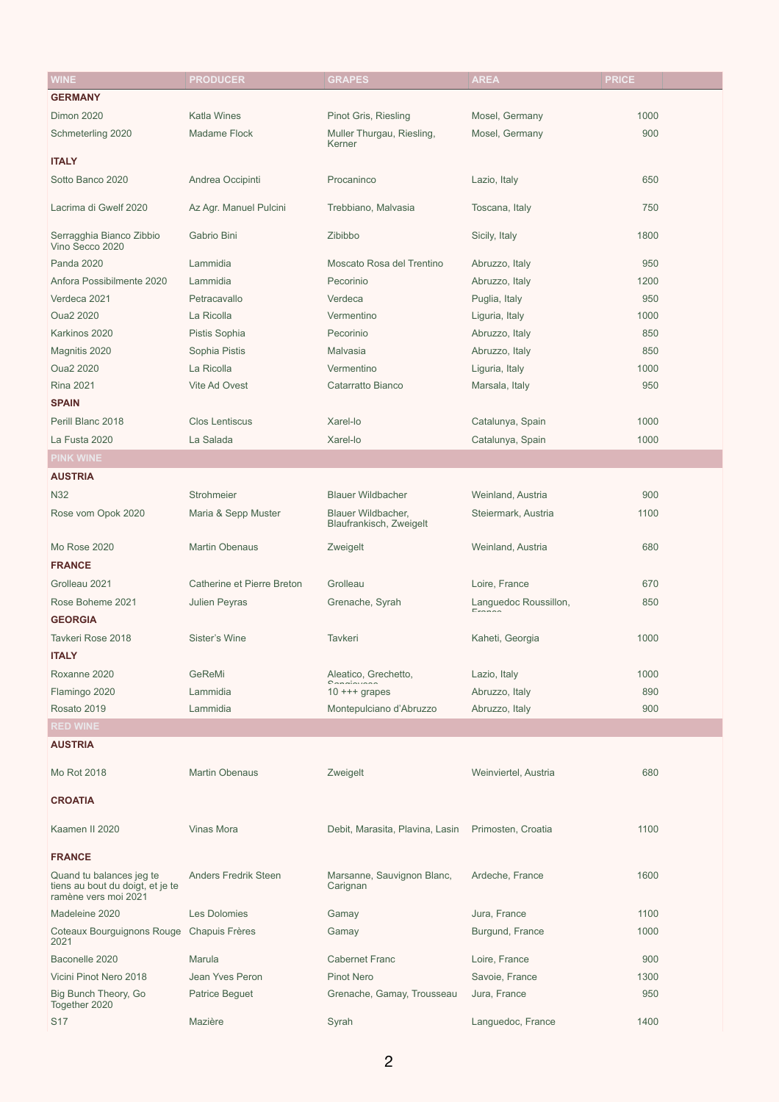| <b>WINE</b>                                 | <b>PRODUCER</b>                   | <b>GRAPES</b>                                 | <b>AREA</b>           | <b>PRICE</b> |
|---------------------------------------------|-----------------------------------|-----------------------------------------------|-----------------------|--------------|
| <b>GERMANY</b>                              |                                   |                                               |                       |              |
| <b>Dimon 2020</b>                           | <b>Katla Wines</b>                | Pinot Gris, Riesling                          | Mosel, Germany        | 1000         |
| Schmeterling 2020                           | <b>Madame Flock</b>               | Muller Thurgau, Riesling,<br>Kerner           | Mosel, Germany        | 900          |
| <b>ITALY</b>                                |                                   |                                               |                       |              |
| Sotto Banco 2020                            | Andrea Occipinti                  | Procaninco                                    | Lazio, Italy          | 650          |
| Lacrima di Gwelf 2020                       | Az Agr. Manuel Pulcini            | Trebbiano, Malvasia                           | Toscana, Italy        | 750          |
| Serragghia Bianco Zibbio<br>Vino Secco 2020 | Gabrio Bini                       | Zibibbo                                       | Sicily, Italy         | 1800         |
| <b>Panda 2020</b>                           | Lammidia                          | Moscato Rosa del Trentino                     | Abruzzo, Italy        | 950          |
| Anfora Possibilmente 2020                   | Lammidia                          | Pecorinio                                     | Abruzzo, Italy        | 1200         |
| Verdeca 2021                                | Petracavallo                      | Verdeca                                       | Puglia, Italy         | 950          |
| <b>Oua2 2020</b>                            | La Ricolla                        | Vermentino                                    | Liguria, Italy        | 1000         |
| Karkinos 2020                               | Pistis Sophia                     | Pecorinio                                     | Abruzzo, Italy        | 850          |
| Magnitis 2020                               | Sophia Pistis                     | Malvasia                                      | Abruzzo, Italy        | 850          |
| <b>Oua2 2020</b>                            | La Ricolla                        | Vermentino                                    | Liguria, Italy        | 1000         |
| <b>Rina 2021</b>                            | Vite Ad Ovest                     | Catarratto Bianco                             | Marsala, Italy        | 950          |
| <b>SPAIN</b>                                |                                   |                                               |                       |              |
| Perill Blanc 2018                           | <b>Clos Lentiscus</b>             | Xarel-lo                                      | Catalunya, Spain      | 1000         |
| La Fusta 2020                               | La Salada                         | Xarel-lo                                      | Catalunya, Spain      | 1000         |
| <b>PINK WINE</b>                            |                                   |                                               |                       |              |
| <b>AUSTRIA</b>                              |                                   |                                               |                       |              |
| <b>N32</b>                                  | Strohmeier                        | <b>Blauer Wildbacher</b>                      | Weinland, Austria     | 900          |
| Rose vom Opok 2020                          | Maria & Sepp Muster               | Blauer Wildbacher,<br>Blaufrankisch, Zweigelt | Steiermark, Austria   | 1100         |
| <b>Mo Rose 2020</b>                         | <b>Martin Obenaus</b>             | Zweigelt                                      | Weinland, Austria     | 680          |
| <b>FRANCE</b>                               |                                   |                                               |                       |              |
| Grolleau 2021                               | <b>Catherine et Pierre Breton</b> | Grolleau                                      | Loire, France         | 670          |
| Rose Boheme 2021                            | <b>Julien Peyras</b>              | Grenache, Syrah                               | Languedoc Roussillon, | 850          |
| <b>GEORGIA</b>                              |                                   |                                               | $F_{r \cap n \cap n}$ |              |
| Tavkeri Rose 2018                           | <b>Sister's Wine</b>              | <b>Tavkeri</b>                                |                       | 1000         |
|                                             |                                   |                                               | Kaheti, Georgia       |              |
| <b>ITALY</b>                                |                                   |                                               |                       |              |
| Roxanne 2020                                | GeReMi                            | Aleatico, Grechetto,                          | Lazio, Italy          | 1000         |
| Flamingo 2020                               | Lammidia                          | $10$ +++ grapes                               | Abruzzo, Italy        | 890          |
| Rosato 2019                                 | Lammidia                          | Montepulciano d'Abruzzo                       | Abruzzo, Italy        | 900          |
| <b>RED WINE</b>                             |                                   |                                               |                       |              |
| <b>AUSTRIA</b>                              |                                   |                                               |                       |              |
| Mo Rot 2018                                 | <b>Martin Obenaus</b>             | Zweigelt                                      | Weinviertel, Austria  | 680          |

**CROATIA**

| Kaamen II 2020                                                                       | <b>Vinas Mora</b>           | Debit, Marasita, Plavina, Lasin        | Primosten, Croatia | 1100 |
|--------------------------------------------------------------------------------------|-----------------------------|----------------------------------------|--------------------|------|
| <b>FRANCE</b>                                                                        |                             |                                        |                    |      |
| Quand tu balances jeg te<br>tiens au bout du doigt, et je te<br>ramène vers moi 2021 | <b>Anders Fredrik Steen</b> | Marsanne, Sauvignon Blanc,<br>Carignan | Ardeche, France    | 1600 |
| Madeleine 2020                                                                       | <b>Les Dolomies</b>         | Gamay                                  | Jura, France       | 1100 |
| Coteaux Bourguignons Rouge<br>2021                                                   | <b>Chapuis Frères</b>       | Gamay                                  | Burgund, France    | 1000 |
| Baconelle 2020                                                                       | Marula                      | <b>Cabernet Franc</b>                  | Loire, France      | 900  |
| Vicini Pinot Nero 2018                                                               | Jean Yves Peron             | <b>Pinot Nero</b>                      | Savoie, France     | 1300 |
| Big Bunch Theory, Go<br>Together 2020                                                | <b>Patrice Beguet</b>       | Grenache, Gamay, Trousseau             | Jura, France       | 950  |
| <b>S17</b>                                                                           | Mazière                     | Syrah                                  | Languedoc, France  | 1400 |